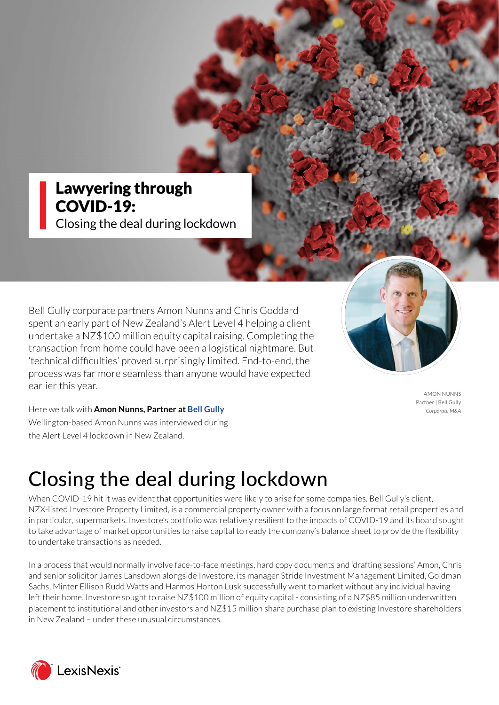### Lawyering through COVID-19:

Closing the deal during lockdown

Bell Gully corporate partners Amon Nunns and Chris Goddard spent an early part of New Zealand's Alert Level 4 helping a client undertake a NZ\$100 million equity capital raising. Completing the transaction from home could have been a logistical nightmare. But 'technical difficulties' proved surprisingly limited. End-to-end, the process was far more seamless than anyone would have expected earlier this year.

AMON NUNNS Partner | Bell Gully *Corporate M&A*

Here we talk with **Amon Nunns, Partner a[t Bell Gull](http://www.bellgully.com)y** Wellington-based Amon Nunns was interviewed during the Alert Level 4 lockdown in New Zealand.

# Closing the deal during lockdown

When COVID-19 hit it was evident that opportunities were likely to arise for some companies. Bell Gully's client, NZX-listed Investore Property Limited, is a commercial property owner with a focus on large format retail properties and in particular, supermarkets. Investore's portfolio was relatively resilient to the impacts of COVID-19 and its board sought to take advantage of market opportunities to raise capital to ready the company's balance sheet to provide the flexibility to undertake transactions as needed.

In a process that would normally involve face-to-face meetings, hard copy documents and 'drafting sessions' Amon, Chris and senior solicitor James Lansdown alongside Investore, its manager Stride Investment Management Limited, Goldman Sachs, Minter Ellison Rudd Watts and Harmos Horton Lusk successfully went to market without any individual having left their home. Investore sought to raise NZ\$100 million of equity capital - consisting of a NZ\$85 million underwritten placement to institutional and other investors and NZ\$15 million share purchase plan to existing Investore shareholders in New Zealand – under these unusual circumstances.

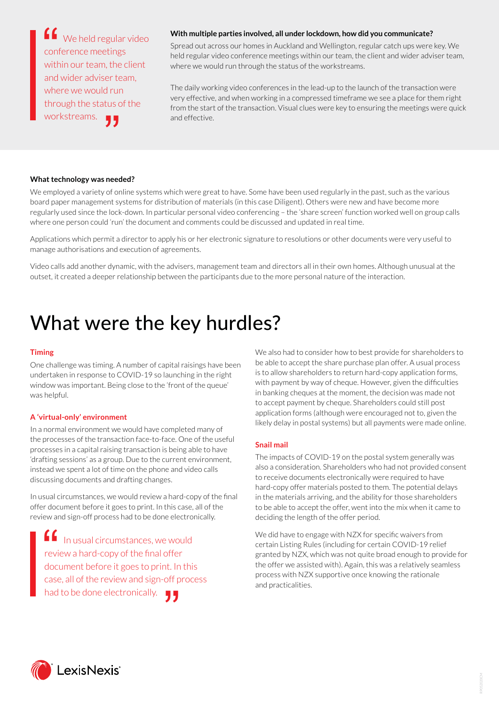We held regular video conference meetings within our team, the client and wider adviser team, where we would run through the status of the workstreams.  $\begin{array}{c}\n 6 \\
 6 \\
 \hline\n 1\n \end{array}$ urur<br>tus d<br><mark>J J</mark>

#### **With multiple parties involved, all under lockdown, how did you communicate?**

Spread out across our homes in Auckland and Wellington, regular catch ups were key. We held regular video conference meetings within our team, the client and wider adviser team, where we would run through the status of the workstreams.

The daily working video conferences in the lead-up to the launch of the transaction were very effective, and when working in a compressed timeframe we see a place for them right from the start of the transaction. Visual clues were key to ensuring the meetings were quick and effective.

#### **What technology was needed?**

We employed a variety of online systems which were great to have. Some have been used regularly in the past, such as the various board paper management systems for distribution of materials (in this case Diligent). Others were new and have become more regularly used since the lock-down. In particular personal video conferencing – the 'share screen' function worked well on group calls where one person could 'run' the document and comments could be discussed and updated in real time.

Applications which permit a director to apply his or her electronic signature to resolutions or other documents were very useful to manage authorisations and execution of agreements.

Video calls add another dynamic, with the advisers, management team and directors all in their own homes. Although unusual at the outset, it created a deeper relationship between the participants due to the more personal nature of the interaction.

## What were the key hurdles?

#### **Timing**

One challenge was timing. A number of capital raisings have been undertaken in response to COVID-19 so launching in the right window was important. Being close to the 'front of the queue' was helpful.

#### **A 'virtual-only' environment**

In a normal environment we would have completed many of the processes of the transaction face-to-face. One of the useful processes in a capital raising transaction is being able to have 'drafting sessions' as a group. Due to the current environment, instead we spent a lot of time on the phone and video calls discussing documents and drafting changes.

In usual circumstances, we would review a hard-copy of the final offer document before it goes to print. In this case, all of the review and sign-off process had to be done electronically.

In usual circumstances, we would review a hard-copy of the final offer document before it goes to print. In this case, all of the review and sign-off process had to be done electronically.  $\qquad \qquad \bullet$ "

We also had to consider how to best provide for shareholders to be able to accept the share purchase plan offer. A usual process is to allow shareholders to return hard-copy application forms, with payment by way of cheque. However, given the difficulties in banking cheques at the moment, the decision was made not to accept payment by cheque. Shareholders could still post application forms (although were encouraged not to, given the likely delay in postal systems) but all payments were made online.

#### **Snail mail**

The impacts of COVID-19 on the postal system generally was also a consideration. Shareholders who had not provided consent to receive documents electronically were required to have hard-copy offer materials posted to them. The potential delays in the materials arriving, and the ability for those shareholders to be able to accept the offer, went into the mix when it came to deciding the length of the offer period.

We did have to engage with NZX for specific waivers from certain Listing Rules (including for certain COVID-19 relief granted by NZX, which was not quite broad enough to provide for the offer we assisted with). Again, this was a relatively seamless process with NZX supportive once knowing the rationale and practicalities.